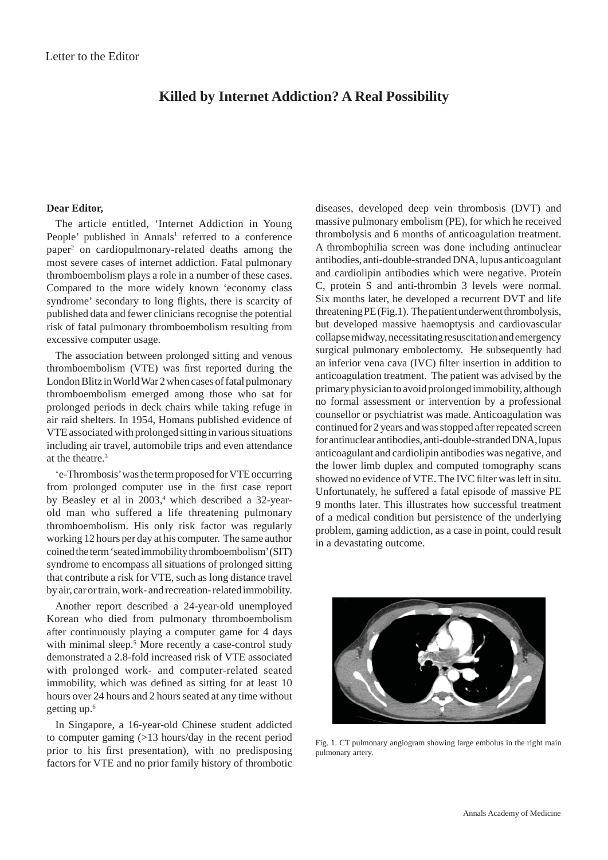## **Killed by Internet Addiction? A Real Possibility**

## **Dear Editor,**

The article entitled, 'Internet Addiction in Young People' published in Annals<sup>1</sup> referred to a conference paper2 on cardiopulmonary-related deaths among the most severe cases of internet addiction. Fatal pulmonary thromboembolism plays a role in a number of these cases. Compared to the more widely known 'economy class syndrome' secondary to long flights, there is scarcity of published data and fewer clinicians recognise the potential risk of fatal pulmonary thromboembolism resulting from excessive computer usage.

The association between prolonged sitting and venous thromboembolism (VTE) was first reported during the London Blitz in World War 2 when cases of fatal pulmonary thromboembolism emerged among those who sat for prolonged periods in deck chairs while taking refuge in air raid shelters. In 1954, Homans published evidence of VTE associated with prolonged sitting in various situations including air travel, automobile trips and even attendance at the theatre.3

'e-Thrombosis' was the term proposed for VTE occurring from prolonged computer use in the first case report by Beasley et al in 2003,<sup>4</sup> which described a 32-yearold man who suffered a life threatening pulmonary thromboembolism. His only risk factor was regularly working 12 hours per day at his computer. The same author coined the term 'seated immobility thromboembolism' (SIT) syndrome to encompass all situations of prolonged sitting that contribute a risk for VTE, such as long distance travel by air, car or train, work- and recreation- related immobility.

Another report described a 24-year-old unemployed Korean who died from pulmonary thromboembolism after continuously playing a computer game for 4 days with minimal sleep.<sup>5</sup> More recently a case-control study demonstrated a 2.8-fold increased risk of VTE associated with prolonged work- and computer-related seated immobility, which was defined as sitting for at least 10 hours over 24 hours and 2 hours seated at any time without getting up.6

In Singapore, a 16-year-old Chinese student addicted to computer gaming (>13 hours/day in the recent period prior to his first presentation), with no predisposing factors for VTE and no prior family history of thrombotic

diseases, developed deep vein thrombosis (DVT) and massive pulmonary embolism (PE), for which he received thrombolysis and 6 months of anticoagulation treatment. A thrombophilia screen was done including antinuclear antibodies, anti-double-stranded DNA, lupus anticoagulant and cardiolipin antibodies which were negative. Protein C, protein S and anti-thrombin 3 levels were normal. Six months later, he developed a recurrent DVT and life threatening PE (Fig.1). The patient underwent thrombolysis, but developed massive haemoptysis and cardiovascular collapse midway, necessitating resuscitation and emergency surgical pulmonary embolectomy. He subsequently had an inferior vena cava (IVC) filter insertion in addition to anticoagulation treatment. The patient was advised by the primary physician to avoid prolonged immobility, although no formal assessment or intervention by a professional counsellor or psychiatrist was made. Anticoagulation was continued for 2 years and was stopped after repeated screen for antinuclear antibodies, anti-double-stranded DNA, lupus anticoagulant and cardiolipin antibodies was negative, and the lower limb duplex and computed tomography scans showed no evidence of VTE. The IVC filter was left in situ. Unfortunately, he suffered a fatal episode of massive PE 9 months later. This illustrates how successful treatment of a medical condition but persistence of the underlying problem, gaming addiction, as a case in point, could result in a devastating outcome.



Fig. 1. CT pulmonary angiogram showing large embolus in the right main pulmonary artery.